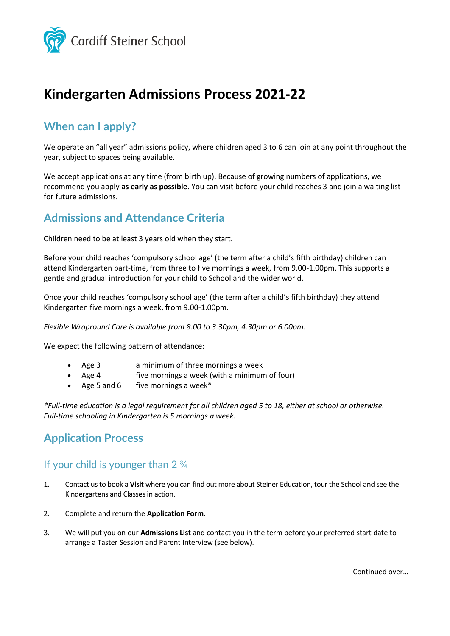

# **Kindergarten Admissions Process 2021-22**

### **When can I apply?**

We operate an "all year" admissions policy, where children aged 3 to 6 can join at any point throughout the year, subject to spaces being available.

We accept applications at any time (from birth up). Because of growing numbers of applications, we recommend you apply **as early as possible**. You can visit before your child reaches 3 and join a waiting list for future admissions.

## **Admissions and Attendance Criteria**

Children need to be at least 3 years old when they start.

Before your child reaches 'compulsory school age' (the term after a child's fifth birthday) children can attend Kindergarten part-time, from three to five mornings a week, from 9.00-1.00pm. This supports a gentle and gradual introduction for your child to School and the wider world.

Once your child reaches 'compulsory school age' (the term after a child's fifth birthday) they attend Kindergarten five mornings a week, from 9.00-1.00pm.

*Flexible Wrapround Care is available from 8.00 to 3.30pm, 4.30pm or 6.00pm.*

We expect the following pattern of attendance:

- Age 3 a minimum of three mornings a week
- Age 4 five mornings a week (with a minimum of four)
- Age 5 and 6 five mornings a week $*$

*\*Full-time education is a legal requirement for all children aged 5 to 18, either at school or otherwise. Full-time schooling in Kindergarten is 5 mornings a week.*

#### **Application Process**

#### If your child is younger than 2 ¾

- 1. Contact us to book a **Visit** where you can find out more about Steiner Education, tour the School and see the Kindergartens and Classes in action.
- 2. Complete and return the **Application Form**.
- 3. We will put you on our **Admissions List** and contact you in the term before your preferred start date to arrange a Taster Session and Parent Interview (see below).

Continued over…